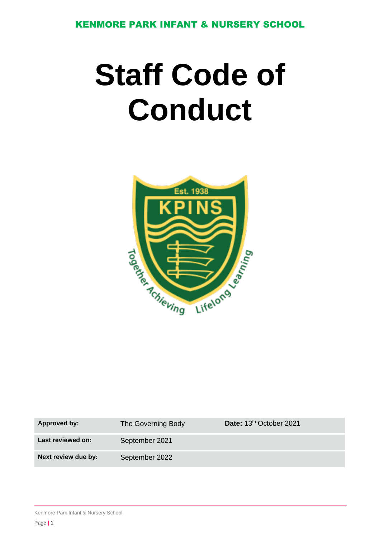KENMORE PARK INFANT & NURSERY SCHOOL

# **Staff Code of Conduct**



| Approved by:        | The Governing Body | Date: 13 <sup>th</sup> October 2021 |
|---------------------|--------------------|-------------------------------------|
| Last reviewed on:   | September 2021     |                                     |
| Next review due by: | September 2022     |                                     |

Kenmore Park Infant & Nursery School.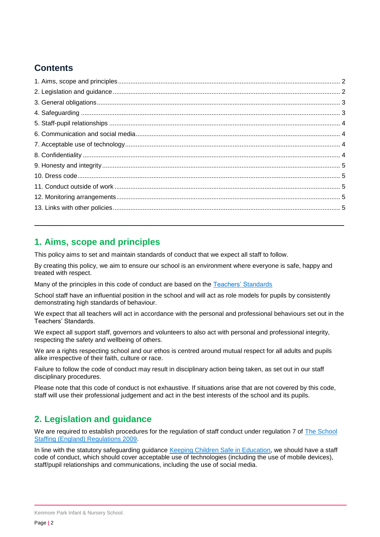# **Contents**

## <span id="page-1-0"></span>**1. Aims, scope and principles**

This policy aims to set and maintain standards of conduct that we expect all staff to follow.

By creating this policy, we aim to ensure our school is an environment where everyone is safe, happy and treated with respect.

Many of the principles in this code of conduct are based on the [Teachers' Standards](https://www.gov.uk/government/publications/teachers-standards)

School staff have an influential position in the school and will act as role models for pupils by consistently demonstrating high standards of behaviour.

We expect that all teachers will act in accordance with the personal and professional behaviours set out in the Teachers' Standards.

We expect all support staff, governors and volunteers to also act with personal and professional integrity, respecting the safety and wellbeing of others.

We are a rights respecting school and our ethos is centred around mutual respect for all adults and pupils alike irrespective of their faith, culture or race.

Failure to follow the code of conduct may result in disciplinary action being taken, as set out in our staff disciplinary procedures.

Please note that this code of conduct is not exhaustive. If situations arise that are not covered by this code, staff will use their professional judgement and act in the best interests of the school and its pupils.

## <span id="page-1-1"></span>**2. Legislation and guidance**

We are required to establish procedures for the regulation of staff conduct under regulation 7 of The School [Staffing \(England\) Regulations 2009.](http://www.legislation.gov.uk/uksi/2009/2680/contents/made)

In line with the statutory safeguarding guidance [Keeping Children Safe in Education,](https://www.gov.uk/government/publications/keeping-children-safe-in-education--2) we should have a staff code of conduct, which should cover acceptable use of technologies (including the use of mobile devices), staff/pupil relationships and communications, including the use of social media.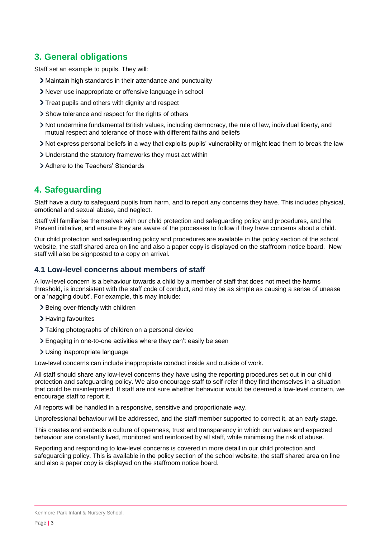# <span id="page-2-0"></span>**3. General obligations**

Staff set an example to pupils. They will:

- Maintain high standards in their attendance and punctuality
- Never use inappropriate or offensive language in school
- > Treat pupils and others with dignity and respect
- > Show tolerance and respect for the rights of others
- Not undermine fundamental British values, including democracy, the rule of law, individual liberty, and mutual respect and tolerance of those with different faiths and beliefs
- Not express personal beliefs in a way that exploits pupils' vulnerability or might lead them to break the law
- Understand the statutory frameworks they must act within
- > Adhere to the Teachers' Standards

## <span id="page-2-1"></span>**4. Safeguarding**

Staff have a duty to safeguard pupils from harm, and to report any concerns they have. This includes physical, emotional and sexual abuse, and neglect.

Staff will familiarise themselves with our child protection and safeguarding policy and procedures, and the Prevent initiative, and ensure they are aware of the processes to follow if they have concerns about a child.

Our child protection and safeguarding policy and procedures are available in the policy section of the school website, the staff shared area on line and also a paper copy is displayed on the staffroom notice board. New staff will also be signposted to a copy on arrival.

#### **4.1 Low-level concerns about members of staff**

A low-level concern is a behaviour towards a child by a member of staff that does not meet the harms threshold, is inconsistent with the staff code of conduct, and may be as simple as causing a sense of unease or a 'nagging doubt'. For example, this may include:

- > Being over-friendly with children
- > Having favourites
- > Taking photographs of children on a personal device
- Engaging in one-to-one activities where they can't easily be seen
- Using inappropriate language

Low-level concerns can include inappropriate conduct inside and outside of work.

All staff should share any low-level concerns they have using the reporting procedures set out in our child protection and safeguarding policy. We also encourage staff to self-refer if they find themselves in a situation that could be misinterpreted. If staff are not sure whether behaviour would be deemed a low-level concern, we encourage staff to report it.

All reports will be handled in a responsive, sensitive and proportionate way.

Unprofessional behaviour will be addressed, and the staff member supported to correct it, at an early stage.

This creates and embeds a culture of openness, trust and transparency in which our values and expected behaviour are constantly lived, monitored and reinforced by all staff, while minimising the risk of abuse.

Reporting and responding to low-level concerns is covered in more detail in our child protection and safeguarding policy. This is available in the policy section of the school website, the staff shared area on line and also a paper copy is displayed on the staffroom notice board.

Kenmore Park Infant & Nursery School.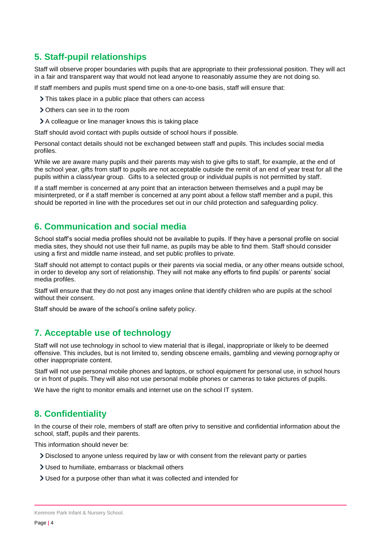# <span id="page-3-0"></span>**5. Staff-pupil relationships**

Staff will observe proper boundaries with pupils that are appropriate to their professional position. They will act in a fair and transparent way that would not lead anyone to reasonably assume they are not doing so.

If staff members and pupils must spend time on a one-to-one basis, staff will ensure that:

- > This takes place in a public place that others can access
- Others can see in to the room
- A colleague or line manager knows this is taking place

Staff should avoid contact with pupils outside of school hours if possible.

Personal contact details should not be exchanged between staff and pupils. This includes social media profiles.

While we are aware many pupils and their parents may wish to give gifts to staff, for example, at the end of the school year, gifts from staff to pupils are not acceptable outside the remit of an end of year treat for all the pupils within a class/year group. Gifts to a selected group or individual pupils is not permitted by staff.

If a staff member is concerned at any point that an interaction between themselves and a pupil may be misinterpreted, or if a staff member is concerned at any point about a fellow staff member and a pupil, this should be reported in line with the procedures set out in our child protection and safeguarding policy.

### <span id="page-3-1"></span>**6. Communication and social media**

School staff's social media profiles should not be available to pupils. If they have a personal profile on social media sites, they should not use their full name, as pupils may be able to find them. Staff should consider using a first and middle name instead, and set public profiles to private.

Staff should not attempt to contact pupils or their parents via social media, or any other means outside school, in order to develop any sort of relationship. They will not make any efforts to find pupils' or parents' social media profiles.

Staff will ensure that they do not post any images online that identify children who are pupils at the school without their consent.

Staff should be aware of the school's online safety policy.

## <span id="page-3-2"></span>**7. Acceptable use of technology**

Staff will not use technology in school to view material that is illegal, inappropriate or likely to be deemed offensive. This includes, but is not limited to, sending obscene emails, gambling and viewing pornography or other inappropriate content.

Staff will not use personal mobile phones and laptops, or school equipment for personal use, in school hours or in front of pupils. They will also not use personal mobile phones or cameras to take pictures of pupils.

We have the right to monitor emails and internet use on the school IT system.

## <span id="page-3-3"></span>**8. Confidentiality**

In the course of their role, members of staff are often privy to sensitive and confidential information about the school, staff, pupils and their parents.

This information should never be:

- Disclosed to anyone unless required by law or with consent from the relevant party or parties
- Used to humiliate, embarrass or blackmail others
- Used for a purpose other than what it was collected and intended for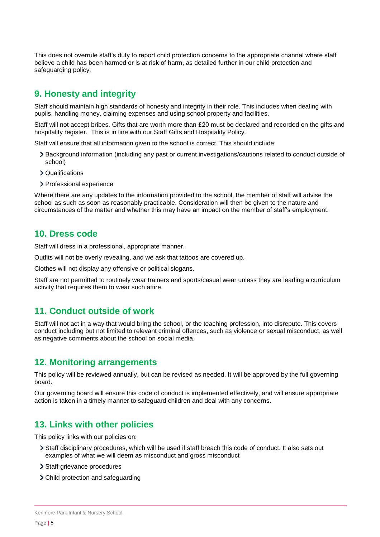This does not overrule staff's duty to report child protection concerns to the appropriate channel where staff believe a child has been harmed or is at risk of harm, as detailed further in our child protection and safeguarding policy.

## <span id="page-4-0"></span>**9. Honesty and integrity**

Staff should maintain high standards of honesty and integrity in their role. This includes when dealing with pupils, handling money, claiming expenses and using school property and facilities.

Staff will not accept bribes. Gifts that are worth more than £20 must be declared and recorded on the gifts and hospitality register. This is in line with our Staff Gifts and Hospitality Policy.

Staff will ensure that all information given to the school is correct. This should include:

- Background information (including any past or current investigations/cautions related to conduct outside of school)
- > Qualifications
- > Professional experience

Where there are any updates to the information provided to the school, the member of staff will advise the school as such as soon as reasonably practicable. Consideration will then be given to the nature and circumstances of the matter and whether this may have an impact on the member of staff's employment.

#### <span id="page-4-1"></span>**10. Dress code**

Staff will dress in a professional, appropriate manner.

Outfits will not be overly revealing, and we ask that tattoos are covered up.

Clothes will not display any offensive or political slogans.

Staff are not permitted to routinely wear trainers and sports/casual wear unless they are leading a curriculum activity that requires them to wear such attire.

#### <span id="page-4-2"></span>**11. Conduct outside of work**

Staff will not act in a way that would bring the school, or the teaching profession, into disrepute. This covers conduct including but not limited to relevant criminal offences, such as violence or sexual misconduct, as well as negative comments about the school on social media.

#### <span id="page-4-3"></span>**12. Monitoring arrangements**

This policy will be reviewed annually, but can be revised as needed. It will be approved by the full governing board.

Our governing board will ensure this code of conduct is implemented effectively, and will ensure appropriate action is taken in a timely manner to safeguard children and deal with any concerns.

## <span id="page-4-4"></span>**13. Links with other policies**

This policy links with our policies on:

- Staff disciplinary procedures, which will be used if staff breach this code of conduct. It also sets out examples of what we will deem as misconduct and gross misconduct
- > Staff grievance procedures
- Child protection and safeguarding